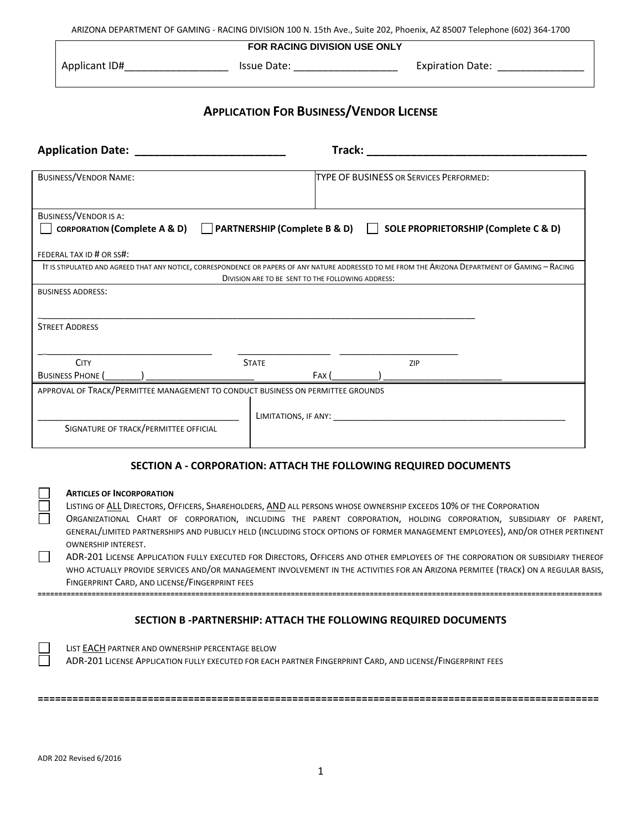ARIZONA DEPARTMENT OF GAMING - RACING DIVISION 100 N. 15th Ave., Suite 202, Phoenix, AZ 85007 Telephone (602) 364-1700

### **FOR RACING DIVISION USE ONLY**

### Applicant ID#\_\_\_\_\_\_\_\_\_\_\_\_\_\_\_\_\_\_\_\_\_\_\_\_\_\_ Issue Date: \_\_\_\_\_\_\_\_\_\_\_\_\_\_\_\_\_\_\_\_\_\_\_\_\_\_\_\_ Expiration Date: \_\_\_\_\_\_\_\_\_\_\_

# **APPLICATION FOR BUSINESS/VENDOR LICENSE**

| <b>Application Date:</b>                                                        | Track:                                                                                                                                                                                                  |  |  |
|---------------------------------------------------------------------------------|---------------------------------------------------------------------------------------------------------------------------------------------------------------------------------------------------------|--|--|
| <b>BUSINESS/VENDOR NAME:</b>                                                    | <b>TYPE OF BUSINESS OR SERVICES PERFORMED:</b>                                                                                                                                                          |  |  |
| <b>BUSINESS/VENDOR IS A:</b>                                                    |                                                                                                                                                                                                         |  |  |
|                                                                                 | CORPORATION (Complete A & D) C PARTNERSHIP (Complete B & D) SOLE PROPRIETORSHIP (Complete C & D)                                                                                                        |  |  |
| FEDERAL TAX ID # OR SS#:                                                        |                                                                                                                                                                                                         |  |  |
|                                                                                 | IT IS STIPULATED AND AGREED THAT ANY NOTICE, CORRESPONDENCE OR PAPERS OF ANY NATURE ADDRESSED TO ME FROM THE ARIZONA DEPARTMENT OF GAMING - RACING<br>DIVISION ARE TO BE SENT TO THE FOLLOWING ADDRESS: |  |  |
| <b>BUSINESS ADDRESS:</b>                                                        |                                                                                                                                                                                                         |  |  |
|                                                                                 |                                                                                                                                                                                                         |  |  |
| <b>STREET ADDRESS</b>                                                           |                                                                                                                                                                                                         |  |  |
|                                                                                 |                                                                                                                                                                                                         |  |  |
| <b>CITY</b><br><b>STATE</b>                                                     | ZIP                                                                                                                                                                                                     |  |  |
| <b>BUSINESS PHONE</b>                                                           | FAX (                                                                                                                                                                                                   |  |  |
| APPROVAL OF TRACK/PERMITTEE MANAGEMENT TO CONDUCT BUSINESS ON PERMITTEE GROUNDS |                                                                                                                                                                                                         |  |  |
|                                                                                 | LIMITATIONS, IF ANY:                                                                                                                                                                                    |  |  |
| SIGNATURE OF TRACK/PERMITTEE OFFICIAL                                           |                                                                                                                                                                                                         |  |  |
|                                                                                 |                                                                                                                                                                                                         |  |  |

# **SECTION A - CORPORATION: ATTACH THE FOLLOWING REQUIRED DOCUMENTS**

### **ARTICLES OF INCORPORATION**

LISTING OF ALL DIRECTORS, OFFICERS, SHAREHOLDERS, AND ALL PERSONS WHOSE OWNERSHIP EXCEEDS 10% OF THE CORPORATION ORGANIZATIONAL CHART OF CORPORATION, INCLUDING THE PARENT CORPORATION, HOLDING CORPORATION, SUBSIDIARY OF PARENT, GENERAL/LIMITED PARTNERSHIPS AND PUBLICLY HELD (INCLUDING STOCK OPTIONS OF FORMER MANAGEMENT EMPLOYEES), AND/OR OTHER PERTINENT OWNERSHIP INTEREST.

 $\Box$ ADR-201 LICENSE APPLICATION FULLY EXECUTED FOR DIRECTORS, OFFICERS AND OTHER EMPLOYEES OF THE CORPORATION OR SUBSIDIARY THEREOF WHO ACTUALLY PROVIDE SERVICES AND/OR MANAGEMENT INVOLVEMENT IN THE ACTIVITIES FOR AN ARIZONA PERMITEE (TRACK) ON A REGULAR BASIS, FINGERPRINT CARD, AND LICENSE/FINGERPRINT FEES

# **SECTION B -PARTNERSHIP: ATTACH THE FOLLOWING REQUIRED DOCUMENTS**

**========================================================================================================================================**

LIST EACH PARTNER AND OWNERSHIP PERCENTAGE BELOW ADR-201 LICENSE APPLICATION FULLY EXECUTED FOR EACH PARTNER FINGERPRINT CARD, AND LICENSE/FINGERPRINT FEES

**=================================================================================================**